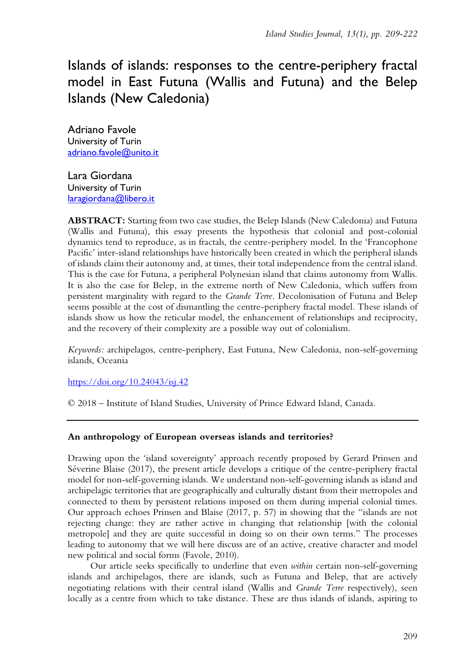Islands of islands: responses to the centre-periphery fractal model in East Futuna (Wallis and Futuna) and the Belep Islands (New Caledonia)

Adriano Favole University of Turin adriano.favole@unito.it

Lara Giordana University of Turin laragiordana@libero.it

**ABSTRACT:** Starting from two case studies, the Belep Islands (New Caledonia) and Futuna (Wallis and Futuna), this essay presents the hypothesis that colonial and post-colonial dynamics tend to reproduce, as in fractals, the centre-periphery model. In the 'Francophone Pacific' inter-island relationships have historically been created in which the peripheral islands of islands claim their autonomy and, at times, their total independence from the central island. This is the case for Futuna, a peripheral Polynesian island that claims autonomy from Wallis. It is also the case for Belep, in the extreme north of New Caledonia, which suffers from persistent marginality with regard to the *Grande Terre.* Decolonisation of Futuna and Belep seems possible at the cost of dismantling the centre-periphery fractal model. These islands of islands show us how the reticular model, the enhancement of relationships and reciprocity, and the recovery of their complexity are a possible way out of colonialism.

*Keywords:* archipelagos, centre-periphery, East Futuna, New Caledonia, non-self-governing islands, Oceania

<https://doi.org/10.24043/isj.42>

© 2018 – Institute of Island Studies, University of Prince Edward Island, Canada.

# **An anthropology of European overseas islands and territories?**

Drawing upon the 'island sovereignty' approach recently proposed by Gerard Prinsen and Séverine Blaise (2017), the present article develops a critique of the centre-periphery fractal model for non-self-governing islands. We understand non-self-governing islands as island and archipelagic territories that are geographically and culturally distant from their metropoles and connected to them by persistent relations imposed on them during imperial colonial times. Our approach echoes Prinsen and Blaise (2017, p. 57) in showing that the "islands are not rejecting change: they are rather active in changing that relationship [with the colonial metropole] and they are quite successful in doing so on their own terms." The processes leading to autonomy that we will here discuss are of an active, creative character and model new political and social forms (Favole, 2010).

Our article seeks specifically to underline that even *within* certain non-self-governing islands and archipelagos, there are islands, such as Futuna and Belep, that are actively negotiating relations with their central island (Wallis and *Grande Terre* respectively), seen locally as a centre from which to take distance. These are thus islands of islands, aspiring to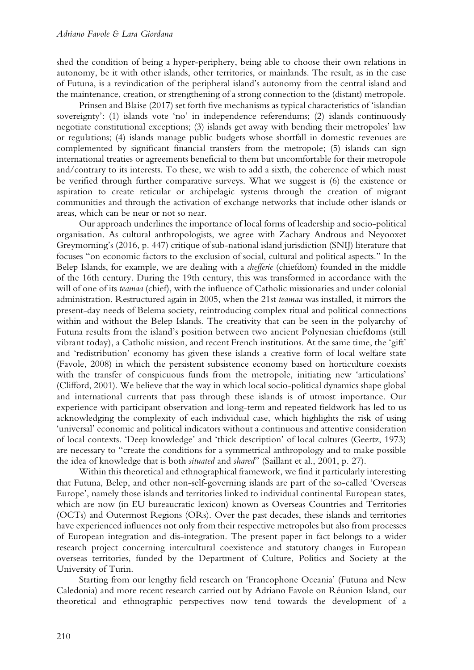shed the condition of being a hyper-periphery, being able to choose their own relations in autonomy, be it with other islands, other territories, or mainlands. The result, as in the case of Futuna, is a revindication of the peripheral island's autonomy from the central island and the maintenance, creation, or strengthening of a strong connection to the (distant) metropole.

Prinsen and Blaise (2017) set forth five mechanisms as typical characteristics of 'islandian sovereignty': (1) islands vote 'no' in independence referendums; (2) islands continuously negotiate constitutional exceptions; (3) islands get away with bending their metropoles' law or regulations; (4) islands manage public budgets whose shortfall in domestic revenues are complemented by significant financial transfers from the metropole; (5) islands can sign international treaties or agreements beneficial to them but uncomfortable for their metropole and/contrary to its interests. To these, we wish to add a sixth, the coherence of which must be verified through further comparative surveys. What we suggest is (6) the existence or aspiration to create reticular or archipelagic systems through the creation of migrant communities and through the activation of exchange networks that include other islands or areas, which can be near or not so near.

Our approach underlines the importance of local forms of leadership and socio-political organisation. As cultural anthropologists, we agree with Zachary Androus and Neyooxet Greymorning's (2016, p. 447) critique of sub-national island jurisdiction (SNIJ) literature that focuses "on economic factors to the exclusion of social, cultural and political aspects." In the Belep Islands, for example, we are dealing with a *chefferie* (chiefdom) founded in the middle of the 16th century. During the 19th century, this was transformed in accordance with the will of one of its *teamaa* (chief), with the influence of Catholic missionaries and under colonial administration. Restructured again in 2005, when the 21st *teamaa* was installed, it mirrors the present-day needs of Belema society, reintroducing complex ritual and political connections within and without the Belep Islands. The creativity that can be seen in the polyarchy of Futuna results from the island's position between two ancient Polynesian chiefdoms (still vibrant today), a Catholic mission, and recent French institutions. At the same time, the 'gift' and 'redistribution' economy has given these islands a creative form of local welfare state (Favole, 2008) in which the persistent subsistence economy based on horticulture coexists with the transfer of conspicuous funds from the metropole, initiating new 'articulations' (Clifford, 2001). We believe that the way in which local socio-political dynamics shape global and international currents that pass through these islands is of utmost importance. Our experience with participant observation and long-term and repeated fieldwork has led to us acknowledging the complexity of each individual case, which highlights the risk of using 'universal' economic and political indicators without a continuous and attentive consideration of local contexts. 'Deep knowledge' and 'thick description' of local cultures (Geertz, 1973) are necessary to "create the conditions for a symmetrical anthropology and to make possible the idea of knowledge that is both *situated* and *shared*" (Saillant et al., 2001, p. 27).

Within this theoretical and ethnographical framework, we find it particularly interesting that Futuna, Belep, and other non-self-governing islands are part of the so-called 'Overseas Europe', namely those islands and territories linked to individual continental European states, which are now (in EU bureaucratic lexicon) known as Overseas Countries and Territories (OCTs) and Outermost Regions (ORs). Over the past decades, these islands and territories have experienced influences not only from their respective metropoles but also from processes of European integration and dis-integration. The present paper in fact belongs to a wider research project concerning intercultural coexistence and statutory changes in European overseas territories, funded by the Department of Culture, Politics and Society at the University of Turin.

Starting from our lengthy field research on 'Francophone Oceania' (Futuna and New Caledonia) and more recent research carried out by Adriano Favole on Réunion Island, our theoretical and ethnographic perspectives now tend towards the development of a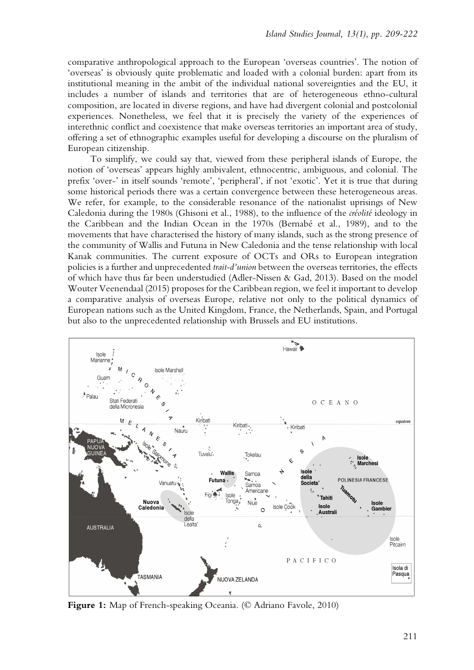comparative anthropological approach to the European 'overseas countries'. The notion of 'overseas' is obviously quite problematic and loaded with a colonial burden: apart from its institutional meaning in the ambit of the individual national sovereignties and the EU, it includes a number of islands and territories that are of heterogeneous ethno-cultural composition, are located in diverse regions, and have had divergent colonial and postcolonial experiences. Nonetheless, we feel that it is precisely the variety of the experiences of interethnic conflict and coexistence that make overseas territories an important area of study, offering a set of ethnographic examples useful for developing a discourse on the pluralism of European citizenship.

To simplify, we could say that, viewed from these peripheral islands of Europe, the notion of 'overseas' appears highly ambivalent, ethnocentric, ambiguous, and colonial. The prefix 'over-' in itself sounds 'remote', 'peripheral', if not 'exotic'. Yet it is true that during some historical periods there was a certain convergence between these heterogeneous areas. We refer, for example, to the considerable resonance of the nationalist uprisings of New Caledonia during the 1980s (Ghisoni et al., 1988), to the influence of the *créolité* ideology in the Caribbean and the Indian Ocean in the 1970s (Bernabé et al., 1989), and to the movements that have characterised the history of many islands, such as the strong presence of the community of Wallis and Futuna in New Caledonia and the tense relationship with local Kanak communities. The current exposure of OCTs and ORs to European integration policies is a further and unprecedented *trait-d'union* between the overseas territories, the effects of which have thus far been understudied (Adler-Nissen & Gad, 2013). Based on the model Wouter Veenendaal (2015) proposes for the Caribbean region, we feel it important to develop a comparative analysis of overseas Europe, relative not only to the political dynamics of European nations such as the United Kingdom, France, the Netherlands, Spain, and Portugal but also to the unprecedented relationship with Brussels and EU institutions.



**Figure 1:** Map of French-speaking Oceania. (© Adriano Favole, 2010)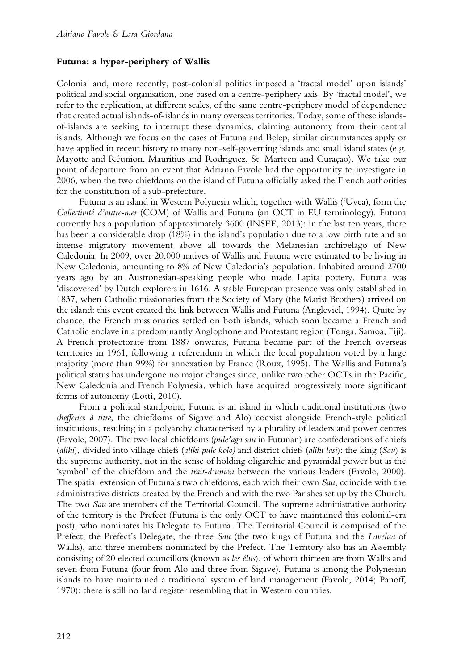# **Futuna: a hyper-periphery of Wallis**

Colonial and, more recently, post-colonial politics imposed a 'fractal model' upon islands' political and social organisation, one based on a centre-periphery axis. By 'fractal model', we refer to the replication, at different scales, of the same centre-periphery model of dependence that created actual islands-of-islands in many overseas territories. Today, some of these islandsof-islands are seeking to interrupt these dynamics, claiming autonomy from their central islands. Although we focus on the cases of Futuna and Belep, similar circumstances apply or have applied in recent history to many non-self-governing islands and small island states (e.g. Mayotte and Réunion, Mauritius and Rodriguez, St. Marteen and Curaçao). We take our point of departure from an event that Adriano Favole had the opportunity to investigate in 2006, when the two chiefdoms on the island of Futuna officially asked the French authorities for the constitution of a sub-prefecture.

Futuna is an island in Western Polynesia which, together with Wallis ('Uvea), form the *Collectivité d'outre-mer* (COM) of Wallis and Futuna (an OCT in EU terminology). Futuna currently has a population of approximately 3600 (INSEE, 2013): in the last ten years, there has been a considerable drop (18%) in the island's population due to a low birth rate and an intense migratory movement above all towards the Melanesian archipelago of New Caledonia. In 2009, over 20,000 natives of Wallis and Futuna were estimated to be living in New Caledonia, amounting to 8% of New Caledonia's population. Inhabited around 2700 years ago by an Austronesian-speaking people who made Lapita pottery, Futuna was 'discovered' by Dutch explorers in 1616. A stable European presence was only established in 1837, when Catholic missionaries from the Society of Mary (the Marist Brothers) arrived on the island: this event created the link between Wallis and Futuna (Angleviel, 1994). Quite by chance, the French missionaries settled on both islands, which soon became a French and Catholic enclave in a predominantly Anglophone and Protestant region (Tonga, Samoa, Fiji). A French protectorate from 1887 onwards, Futuna became part of the French overseas territories in 1961, following a referendum in which the local population voted by a large majority (more than 99%) for annexation by France (Roux, 1995). The Wallis and Futuna's political status has undergone no major changes since, unlike two other OCTs in the Pacific, New Caledonia and French Polynesia, which have acquired progressively more significant forms of autonomy (Lotti, 2010).

From a political standpoint, Futuna is an island in which traditional institutions (two *chefferie*s *à titre*, the chiefdoms of Sigave and Alo) coexist alongside French-style political institutions, resulting in a polyarchy characterised by a plurality of leaders and power centres (Favole, 2007). The two local chiefdoms (*pule'aga sau* in Futunan) are confederations of chiefs (*aliki*), divided into village chiefs (*aliki pule kolo)* and district chiefs (*aliki lasi*): the king (*Sau*) is the supreme authority, not in the sense of holding oligarchic and pyramidal power but as the 'symbol' of the chiefdom and the *trait-d'union* between the various leaders (Favole, 2000). The spatial extension of Futuna's two chiefdoms, each with their own *Sau*, coincide with the administrative districts created by the French and with the two Parishes set up by the Church. The two *Sau* are members of the Territorial Council. The supreme administrative authority of the territory is the Prefect (Futuna is the only OCT to have maintained this colonial-era post), who nominates his Delegate to Futuna. The Territorial Council is comprised of the Prefect, the Prefect's Delegate, the three *Sau* (the two kings of Futuna and the *Lavelua* of Wallis), and three members nominated by the Prefect. The Territory also has an Assembly consisting of 20 elected councillors (known as *les élus*), of whom thirteen are from Wallis and seven from Futuna (four from Alo and three from Sigave). Futuna is among the Polynesian islands to have maintained a traditional system of land management (Favole, 2014; Panoff, 1970): there is still no land register resembling that in Western countries.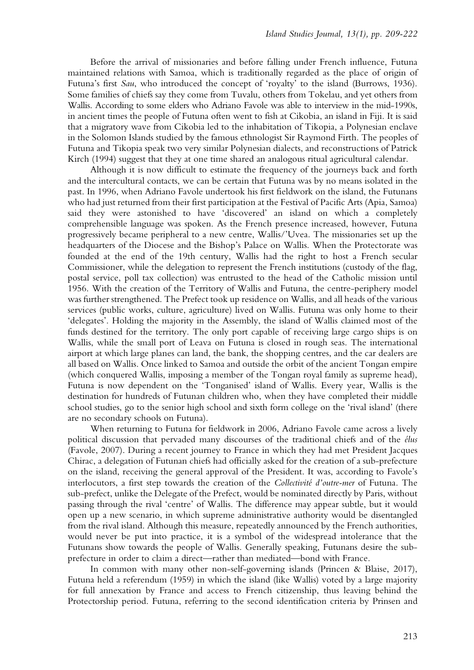Before the arrival of missionaries and before falling under French influence, Futuna maintained relations with Samoa, which is traditionally regarded as the place of origin of Futuna's first *Sau*, who introduced the concept of 'royalty' to the island (Burrows, 1936). Some families of chiefs say they come from Tuvalu, others from Tokelau, and yet others from Wallis. According to some elders who Adriano Favole was able to interview in the mid-1990s, in ancient times the people of Futuna often went to fish at Cikobia, an island in Fiji. It is said that a migratory wave from Cikobia led to the inhabitation of Tikopia, a Polynesian enclave in the Solomon Islands studied by the famous ethnologist Sir Raymond Firth. The peoples of Futuna and Tikopia speak two very similar Polynesian dialects, and reconstructions of Patrick Kirch (1994) suggest that they at one time shared an analogous ritual agricultural calendar.

Although it is now difficult to estimate the frequency of the journeys back and forth and the intercultural contacts, we can be certain that Futuna was by no means isolated in the past. In 1996, when Adriano Favole undertook his first fieldwork on the island, the Futunans who had just returned from their first participation at the Festival of Pacific Arts (Apia, Samoa) said they were astonished to have 'discovered' an island on which a completely comprehensible language was spoken. As the French presence increased, however, Futuna progressively became peripheral to a new centre, Wallis/'Uvea. The missionaries set up the headquarters of the Diocese and the Bishop's Palace on Wallis. When the Protectorate was founded at the end of the 19th century, Wallis had the right to host a French secular Commissioner, while the delegation to represent the French institutions (custody of the flag, postal service, poll tax collection) was entrusted to the head of the Catholic mission until 1956. With the creation of the Territory of Wallis and Futuna, the centre-periphery model was further strengthened. The Prefect took up residence on Wallis, and all heads of the various services (public works, culture, agriculture) lived on Wallis. Futuna was only home to their 'delegates'. Holding the majority in the Assembly, the island of Wallis claimed most of the funds destined for the territory. The only port capable of receiving large cargo ships is on Wallis, while the small port of Leava on Futuna is closed in rough seas. The international airport at which large planes can land, the bank, the shopping centres, and the car dealers are all based on Wallis. Once linked to Samoa and outside the orbit of the ancient Tongan empire (which conquered Wallis, imposing a member of the Tongan royal family as supreme head), Futuna is now dependent on the 'Tonganised' island of Wallis. Every year, Wallis is the destination for hundreds of Futunan children who, when they have completed their middle school studies, go to the senior high school and sixth form college on the 'rival island' (there are no secondary schools on Futuna).

When returning to Futuna for fieldwork in 2006, Adriano Favole came across a lively political discussion that pervaded many discourses of the traditional chiefs and of the *élus*  (Favole, 2007). During a recent journey to France in which they had met President Jacques Chirac, a delegation of Futunan chiefs had officially asked for the creation of a sub-prefecture on the island, receiving the general approval of the President. It was, according to Favole's interlocutors, a first step towards the creation of the *Collectivité d'outre-mer* of Futuna. The sub-prefect, unlike the Delegate of the Prefect, would be nominated directly by Paris, without passing through the rival 'centre' of Wallis. The difference may appear subtle, but it would open up a new scenario, in which supreme administrative authority would be disentangled from the rival island. Although this measure, repeatedly announced by the French authorities, would never be put into practice, it is a symbol of the widespread intolerance that the Futunans show towards the people of Wallis. Generally speaking, Futunans desire the subprefecture in order to claim a direct—rather than mediated—bond with France.

In common with many other non-self-governing islands (Princen & Blaise, 2017), Futuna held a referendum (1959) in which the island (like Wallis) voted by a large majority for full annexation by France and access to French citizenship, thus leaving behind the Protectorship period. Futuna, referring to the second identification criteria by Prinsen and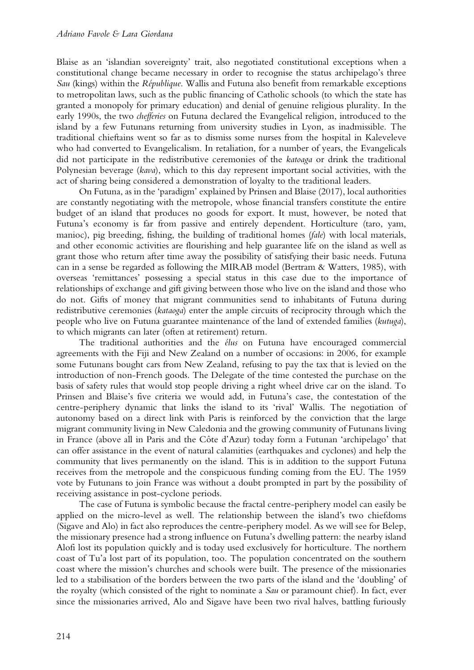Blaise as an 'islandian sovereignty' trait, also negotiated constitutional exceptions when a constitutional change became necessary in order to recognise the status archipelago's three *Sau* (kings) within the *République*. Wallis and Futuna also benefit from remarkable exceptions to metropolitan laws, such as the public financing of Catholic schools (to which the state has granted a monopoly for primary education) and denial of genuine religious plurality. In the early 1990s, the two *chefferies* on Futuna declared the Evangelical religion, introduced to the island by a few Futunans returning from university studies in Lyon, as inadmissible. The traditional chieftains went so far as to dismiss some nurses from the hospital in Kaleveleve who had converted to Evangelicalism. In retaliation, for a number of years, the Evangelicals did not participate in the redistributive ceremonies of the *katoaga* or drink the traditional Polynesian beverage (*kava*), which to this day represent important social activities, with the act of sharing being considered a demonstration of loyalty to the traditional leaders.

On Futuna, as in the 'paradigm' explained by Prinsen and Blaise (2017), local authorities are constantly negotiating with the metropole, whose financial transfers constitute the entire budget of an island that produces no goods for export. It must, however, be noted that Futuna's economy is far from passive and entirely dependent. Horticulture (taro, yam, manioc), pig breeding, fishing, the building of traditional homes (*fale*) with local materials, and other economic activities are flourishing and help guarantee life on the island as well as grant those who return after time away the possibility of satisfying their basic needs. Futuna can in a sense be regarded as following the MIRAB model (Bertram & Watters, 1985), with overseas 'remittances' possessing a special status in this case due to the importance of relationships of exchange and gift giving between those who live on the island and those who do not. Gifts of money that migrant communities send to inhabitants of Futuna during redistributive ceremonies (*kataoga*) enter the ample circuits of reciprocity through which the people who live on Futuna guarantee maintenance of the land of extended families (*kutuga*), to which migrants can later (often at retirement) return.

The traditional authorities and the *élus* on Futuna have encouraged commercial agreements with the Fiji and New Zealand on a number of occasions: in 2006, for example some Futunans bought cars from New Zealand, refusing to pay the tax that is levied on the introduction of non-French goods. The Delegate of the time contested the purchase on the basis of safety rules that would stop people driving a right wheel drive car on the island. To Prinsen and Blaise's five criteria we would add, in Futuna's case, the contestation of the centre-periphery dynamic that links the island to its 'rival' Wallis. The negotiation of autonomy based on a direct link with Paris is reinforced by the conviction that the large migrant community living in New Caledonia and the growing community of Futunans living in France (above all in Paris and the Côte d'Azur) today form a Futunan 'archipelago' that can offer assistance in the event of natural calamities (earthquakes and cyclones) and help the community that lives permanently on the island. This is in addition to the support Futuna receives from the metropole and the conspicuous funding coming from the EU. The 1959 vote by Futunans to join France was without a doubt prompted in part by the possibility of receiving assistance in post-cyclone periods.

The case of Futuna is symbolic because the fractal centre-periphery model can easily be applied on the micro-level as well. The relationship between the island's two chiefdoms (Sigave and Alo) in fact also reproduces the centre-periphery model. As we will see for Belep, the missionary presence had a strong influence on Futuna's dwelling pattern: the nearby island Alofi lost its population quickly and is today used exclusively for horticulture. The northern coast of Tu'a lost part of its population, too. The population concentrated on the southern coast where the mission's churches and schools were built. The presence of the missionaries led to a stabilisation of the borders between the two parts of the island and the 'doubling' of the royalty (which consisted of the right to nominate a *Sau* or paramount chief). In fact, ever since the missionaries arrived, Alo and Sigave have been two rival halves, battling furiously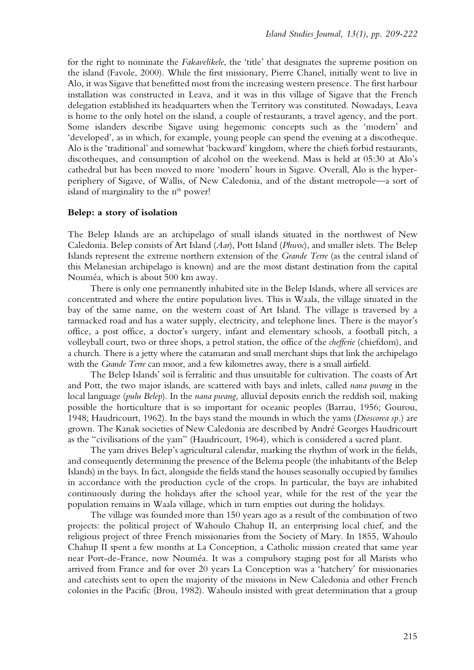for the right to nominate the *Fakavelikele*, the 'title' that designates the supreme position on the island (Favole, 2000). While the first missionary, Pierre Chanel, initially went to live in Alo, it was Sigave that benefitted most from the increasing western presence. The first harbour installation was constructed in Leava, and it was in this village of Sigave that the French delegation established its headquarters when the Territory was constituted. Nowadays, Leava is home to the only hotel on the island, a couple of restaurants, a travel agency, and the port. Some islanders describe Sigave using hegemonic concepts such as the 'modern' and 'developed', as in which, for example, young people can spend the evening at a discotheque. Alo is the 'traditional' and somewhat 'backward' kingdom, where the chiefs forbid restaurants, discotheques, and consumption of alcohol on the weekend. Mass is held at 05:30 at Alo's cathedral but has been moved to more 'modern' hours in Sigave. Overall, Alo is the hyperperiphery of Sigave, of Wallis, of New Caledonia, and of the distant metropole—a sort of island of marginality to the n<sup>th</sup> power!

### **Belep: a story of isolation**

The Belep Islands are an archipelago of small islands situated in the northwest of New Caledonia. Belep consists of Art Island (*Aar*), Pott Island (*Phwoc*), and smaller islets. The Belep Islands represent the extreme northern extension of the *Grande Terre* (as the central island of this Melanesian archipelago is known) and are the most distant destination from the capital Nouméa, which is about 500 km away.

There is only one permanently inhabited site in the Belep Islands, where all services are concentrated and where the entire population lives. This is Waala, the village situated in the bay of the same name, on the western coast of Art Island. The village is traversed by a tarmacked road and has a water supply, electricity, and telephone lines. There is the mayor's office, a post office, a doctor's surgery, infant and elementary schools, a football pitch, a volleyball court, two or three shops, a petrol station, the office of the *chefferie* (chiefdom), and a church. There is a jetty where the catamaran and small merchant ships that link the archipelago with the *Grande Terre* can moor, and a few kilometres away, there is a small airfield.

The Belep Islands' soil is ferralitic and thus unsuitable for cultivation. The coasts of Art and Pott, the two major islands, are scattered with bays and inlets, called *nana pwang* in the local language (*pulu Belep*). In the *nana pwang,* alluvial deposits enrich the reddish soil, making possible the horticulture that is so important for oceanic peoples (Barrau, 1956; Gourou, 1948; Haudricourt, 1962). In the bays stand the mounds in which the yams (*Dioscorea sp.*) are grown. The Kanak societies of New Caledonia are described by André Georges Haudricourt as the "civilisations of the yam" (Haudricourt, 1964), which is considered a sacred plant.

The yam drives Belep's agricultural calendar, marking the rhythm of work in the fields, and consequently determining the presence of the Belema people (the inhabitants of the Belep Islands) in the bays. In fact, alongside the fields stand the houses seasonally occupied by families in accordance with the production cycle of the crops. In particular, the bays are inhabited continuously during the holidays after the school year, while for the rest of the year the population remains in Waala village, which in turn empties out during the holidays.

The village was founded more than 150 years ago as a result of the combination of two projects: the political project of Wahoulo Chahup II, an enterprising local chief, and the religious project of three French missionaries from the Society of Mary. In 1855, Wahoulo Chahup II spent a few months at La Conception, a Catholic mission created that same year near Port-de-France, now Nouméa. It was a compulsory staging post for all Marists who arrived from France and for over 20 years La Conception was a 'hatchery' for missionaries and catechists sent to open the majority of the missions in New Caledonia and other French colonies in the Pacific (Brou, 1982). Wahoulo insisted with great determination that a group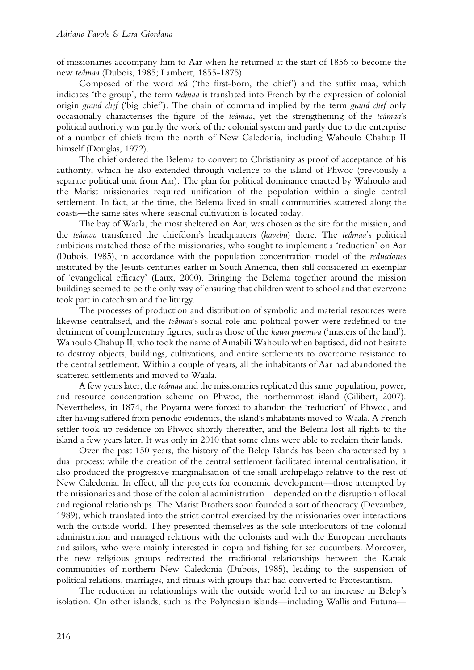of missionaries accompany him to Aar when he returned at the start of 1856 to become the new *teâmaa* (Dubois, 1985; Lambert, 1855-1875).

Composed of the word *teâ* ('the first-born, the chief') and the suffix maa, which indicates 'the group', the term *teâmaa* is translated into French by the expression of colonial origin *grand chef* ('big chief'). The chain of command implied by the term *grand chef* only occasionally characterises the figure of the *teâmaa*, yet the strengthening of the *teâmaa*'s political authority was partly the work of the colonial system and partly due to the enterprise of a number of chiefs from the north of New Caledonia, including Wahoulo Chahup II himself (Douglas, 1972).

The chief ordered the Belema to convert to Christianity as proof of acceptance of his authority, which he also extended through violence to the island of Phwoc (previously a separate political unit from Aar). The plan for political dominance enacted by Wahoulo and the Marist missionaries required unification of the population within a single central settlement. In fact, at the time, the Belema lived in small communities scattered along the coasts—the same sites where seasonal cultivation is located today.

The bay of Waala, the most sheltered on Aar, was chosen as the site for the mission, and the *teâmaa* transferred the chiefdom's headquarters (*kavebu*) there. The *teâmaa*'s political ambitions matched those of the missionaries, who sought to implement a 'reduction' on Aar (Dubois, 1985), in accordance with the population concentration model of the *reducciones* instituted by the Jesuits centuries earlier in South America, then still considered an exemplar of 'evangelical efficacy' (Laux, 2000). Bringing the Belema together around the mission buildings seemed to be the only way of ensuring that children went to school and that everyone took part in catechism and the liturgy.

The processes of production and distribution of symbolic and material resources were likewise centralised, and the *teâmaa*'s social role and political power were redefined to the detriment of complementary figures, such as those of the *kawu pwemwa* ('masters of the land'). Wahoulo Chahup II, who took the name of Amabili Wahoulo when baptised, did not hesitate to destroy objects, buildings, cultivations, and entire settlements to overcome resistance to the central settlement. Within a couple of years, all the inhabitants of Aar had abandoned the scattered settlements and moved to Waala.

A few years later, the *teâmaa* and the missionaries replicated this same population, power, and resource concentration scheme on Phwoc, the northernmost island (Gilibert, 2007). Nevertheless, in 1874, the Poyama were forced to abandon the 'reduction' of Phwoc, and after having suffered from periodic epidemics, the island's inhabitants moved to Waala. A French settler took up residence on Phwoc shortly thereafter, and the Belema lost all rights to the island a few years later. It was only in 2010 that some clans were able to reclaim their lands.

Over the past 150 years, the history of the Belep Islands has been characterised by a dual process: while the creation of the central settlement facilitated internal centralisation, it also produced the progressive marginalisation of the small archipelago relative to the rest of New Caledonia. In effect, all the projects for economic development—those attempted by the missionaries and those of the colonial administration—depended on the disruption of local and regional relationships. The Marist Brothers soon founded a sort of theocracy (Devambez, 1989), which translated into the strict control exercised by the missionaries over interactions with the outside world. They presented themselves as the sole interlocutors of the colonial administration and managed relations with the colonists and with the European merchants and sailors, who were mainly interested in copra and fishing for sea cucumbers. Moreover, the new religious groups redirected the traditional relationships between the Kanak communities of northern New Caledonia (Dubois, 1985), leading to the suspension of political relations, marriages, and rituals with groups that had converted to Protestantism.

The reduction in relationships with the outside world led to an increase in Belep's isolation. On other islands, such as the Polynesian islands—including Wallis and Futuna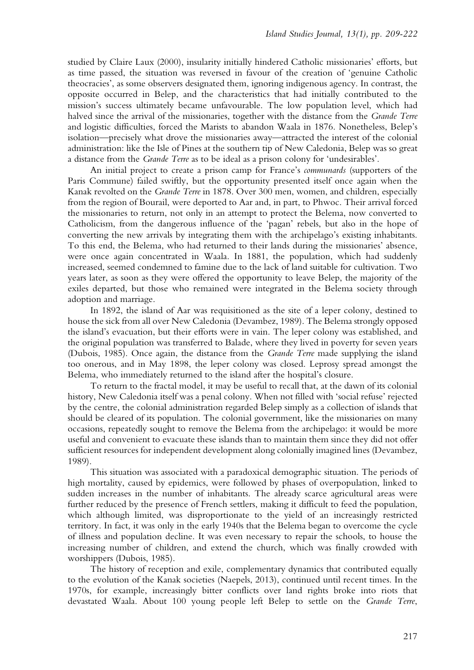studied by Claire Laux (2000), insularity initially hindered Catholic missionaries' efforts, but as time passed, the situation was reversed in favour of the creation of 'genuine Catholic theocracies', as some observers designated them, ignoring indigenous agency. In contrast, the opposite occurred in Belep, and the characteristics that had initially contributed to the mission's success ultimately became unfavourable. The low population level, which had halved since the arrival of the missionaries, together with the distance from the *Grande Terre* and logistic difficulties, forced the Marists to abandon Waala in 1876. Nonetheless, Belep's isolation—precisely what drove the missionaries away—attracted the interest of the colonial administration: like the Isle of Pines at the southern tip of New Caledonia, Belep was so great a distance from the *Grande Terre* as to be ideal as a prison colony for 'undesirables'.

An initial project to create a prison camp for France's *communards* (supporters of the Paris Commune) failed swiftly, but the opportunity presented itself once again when the Kanak revolted on the *Grande Terre* in 1878. Over 300 men, women, and children, especially from the region of Bourail, were deported to Aar and, in part, to Phwoc. Their arrival forced the missionaries to return, not only in an attempt to protect the Belema, now converted to Catholicism, from the dangerous influence of the 'pagan' rebels, but also in the hope of converting the new arrivals by integrating them with the archipelago's existing inhabitants. To this end, the Belema, who had returned to their lands during the missionaries' absence, were once again concentrated in Waala. In 1881, the population, which had suddenly increased, seemed condemned to famine due to the lack of land suitable for cultivation. Two years later, as soon as they were offered the opportunity to leave Belep, the majority of the exiles departed, but those who remained were integrated in the Belema society through adoption and marriage.

In 1892, the island of Aar was requisitioned as the site of a leper colony, destined to house the sick from all over New Caledonia (Devambez, 1989). The Belema strongly opposed the island's evacuation, but their efforts were in vain. The leper colony was established, and the original population was transferred to Balade, where they lived in poverty for seven years (Dubois, 1985). Once again, the distance from the *Grande Terre* made supplying the island too onerous, and in May 1898, the leper colony was closed. Leprosy spread amongst the Belema, who immediately returned to the island after the hospital's closure.

To return to the fractal model, it may be useful to recall that, at the dawn of its colonial history, New Caledonia itself was a penal colony. When not filled with 'social refuse' rejected by the centre, the colonial administration regarded Belep simply as a collection of islands that should be cleared of its population. The colonial government, like the missionaries on many occasions, repeatedly sought to remove the Belema from the archipelago: it would be more useful and convenient to evacuate these islands than to maintain them since they did not offer sufficient resources for independent development along colonially imagined lines (Devambez, 1989).

This situation was associated with a paradoxical demographic situation. The periods of high mortality, caused by epidemics, were followed by phases of overpopulation, linked to sudden increases in the number of inhabitants. The already scarce agricultural areas were further reduced by the presence of French settlers, making it difficult to feed the population, which although limited, was disproportionate to the yield of an increasingly restricted territory. In fact, it was only in the early 1940s that the Belema began to overcome the cycle of illness and population decline. It was even necessary to repair the schools, to house the increasing number of children, and extend the church, which was finally crowded with worshippers (Dubois, 1985).

The history of reception and exile, complementary dynamics that contributed equally to the evolution of the Kanak societies (Naepels, 2013), continued until recent times. In the 1970s, for example, increasingly bitter conflicts over land rights broke into riots that devastated Waala. About 100 young people left Belep to settle on the *Grande Terre*,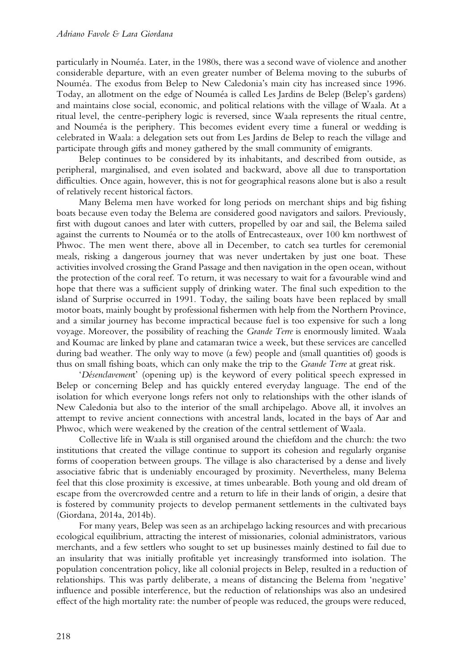particularly in Nouméa. Later, in the 1980s, there was a second wave of violence and another considerable departure, with an even greater number of Belema moving to the suburbs of Nouméa. The exodus from Belep to New Caledonia's main city has increased since 1996. Today, an allotment on the edge of Nouméa is called Les Jardins de Belep (Belep's gardens) and maintains close social, economic, and political relations with the village of Waala. At a ritual level, the centre-periphery logic is reversed, since Waala represents the ritual centre, and Nouméa is the periphery. This becomes evident every time a funeral or wedding is celebrated in Waala: a delegation sets out from Les Jardins de Belep to reach the village and participate through gifts and money gathered by the small community of emigrants.

Belep continues to be considered by its inhabitants, and described from outside, as peripheral, marginalised, and even isolated and backward, above all due to transportation difficulties. Once again, however, this is not for geographical reasons alone but is also a result of relatively recent historical factors.

Many Belema men have worked for long periods on merchant ships and big fishing boats because even today the Belema are considered good navigators and sailors. Previously, first with dugout canoes and later with cutters, propelled by oar and sail, the Belema sailed against the currents to Nouméa or to the atolls of Entrecasteaux, over 100 km northwest of Phwoc. The men went there, above all in December, to catch sea turtles for ceremonial meals, risking a dangerous journey that was never undertaken by just one boat. These activities involved crossing the Grand Passage and then navigation in the open ocean, without the protection of the coral reef. To return, it was necessary to wait for a favourable wind and hope that there was a sufficient supply of drinking water. The final such expedition to the island of Surprise occurred in 1991. Today, the sailing boats have been replaced by small motor boats, mainly bought by professional fishermen with help from the Northern Province, and a similar journey has become impractical because fuel is too expensive for such a long voyage. Moreover, the possibility of reaching the *Grande Terre* is enormously limited. Waala and Koumac are linked by plane and catamaran twice a week, but these services are cancelled during bad weather. The only way to move (a few) people and (small quantities of) goods is thus on small fishing boats, which can only make the trip to the *Grande Terre* at great risk.

'*Désenclavemen*t' (opening up) is the keyword of every political speech expressed in Belep or concerning Belep and has quickly entered everyday language. The end of the isolation for which everyone longs refers not only to relationships with the other islands of New Caledonia but also to the interior of the small archipelago. Above all, it involves an attempt to revive ancient connections with ancestral lands, located in the bays of Aar and Phwoc, which were weakened by the creation of the central settlement of Waala.

Collective life in Waala is still organised around the chiefdom and the church: the two institutions that created the village continue to support its cohesion and regularly organise forms of cooperation between groups. The village is also characterised by a dense and lively associative fabric that is undeniably encouraged by proximity. Nevertheless, many Belema feel that this close proximity is excessive, at times unbearable. Both young and old dream of escape from the overcrowded centre and a return to life in their lands of origin, a desire that is fostered by community projects to develop permanent settlements in the cultivated bays (Giordana, 2014a, 2014b).

For many years, Belep was seen as an archipelago lacking resources and with precarious ecological equilibrium, attracting the interest of missionaries, colonial administrators, various merchants, and a few settlers who sought to set up businesses mainly destined to fail due to an insularity that was initially profitable yet increasingly transformed into isolation. The population concentration policy, like all colonial projects in Belep, resulted in a reduction of relationships. This was partly deliberate, a means of distancing the Belema from 'negative' influence and possible interference, but the reduction of relationships was also an undesired effect of the high mortality rate: the number of people was reduced, the groups were reduced,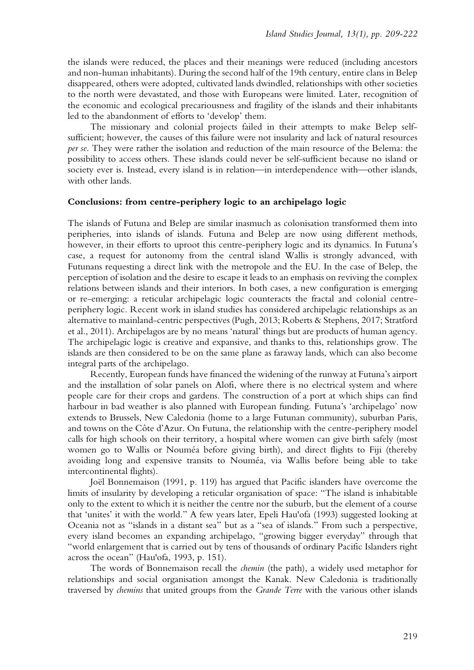the islands were reduced, the places and their meanings were reduced (including ancestors and non-human inhabitants). During the second half of the 19th century, entire clans in Belep disappeared, others were adopted, cultivated lands dwindled, relationships with other societies to the north were devastated, and those with Europeans were limited. Later, recognition of the economic and ecological precariousness and fragility of the islands and their inhabitants led to the abandonment of efforts to 'develop' them.

The missionary and colonial projects failed in their attempts to make Belep selfsufficient; however, the causes of this failure were not insularity and lack of natural resources *per se*. They were rather the isolation and reduction of the main resource of the Belema: the possibility to access others. These islands could never be self-sufficient because no island or society ever is. Instead, every island is in relation—in interdependence with—other islands, with other lands.

#### **Conclusions: from centre-periphery logic to an archipelago logic**

The islands of Futuna and Belep are similar inasmuch as colonisation transformed them into peripheries, into islands of islands. Futuna and Belep are now using different methods, however, in their efforts to uproot this centre-periphery logic and its dynamics. In Futuna's case, a request for autonomy from the central island Wallis is strongly advanced, with Futunans requesting a direct link with the metropole and the EU. In the case of Belep, the perception of isolation and the desire to escape it leads to an emphasis on reviving the complex relations between islands and their interiors. In both cases, a new configuration is emerging or re-emerging: a reticular archipelagic logic counteracts the fractal and colonial centreperiphery logic. Recent work in island studies has considered archipelagic relationships as an alternative to mainland-centric perspectives (Pugh, 2013; Roberts & Stephens, 2017; Stratford et al., 2011). Archipelagos are by no means 'natural' things but are products of human agency. The archipelagic logic is creative and expansive, and thanks to this, relationships grow. The islands are then considered to be on the same plane as faraway lands, which can also become integral parts of the archipelago.

Recently, European funds have financed the widening of the runway at Futuna's airport and the installation of solar panels on Alofi, where there is no electrical system and where people care for their crops and gardens. The construction of a port at which ships can find harbour in bad weather is also planned with European funding. Futuna's 'archipelago' now extends to Brussels, New Caledonia (home to a large Futunan community), suburban Paris, and towns on the Côte d'Azur. On Futuna, the relationship with the centre-periphery model calls for high schools on their territory, a hospital where women can give birth safely (most women go to Wallis or Nouméa before giving birth), and direct flights to Fiji (thereby avoiding long and expensive transits to Nouméa, via Wallis before being able to take intercontinental flights).

Joël Bonnemaison (1991, p. 119) has argued that Pacific islanders have overcome the limits of insularity by developing a reticular organisation of space: "The island is inhabitable only to the extent to which it is neither the centre nor the suburb, but the element of a course that 'unites' it with the world." A few years later, Epeli Hau'ofa (1993) suggested looking at Oceania not as "islands in a distant sea" but as a "sea of islands." From such a perspective, every island becomes an expanding archipelago, "growing bigger everyday" through that "world enlargement that is carried out by tens of thousands of ordinary Pacific Islanders right across the ocean" (Hau'ofa, 1993, p. 151).

The words of Bonnemaison recall the *chemin* (the path), a widely used metaphor for relationships and social organisation amongst the Kanak. New Caledonia is traditionally traversed by *chemins* that united groups from the *Grande Terre* with the various other islands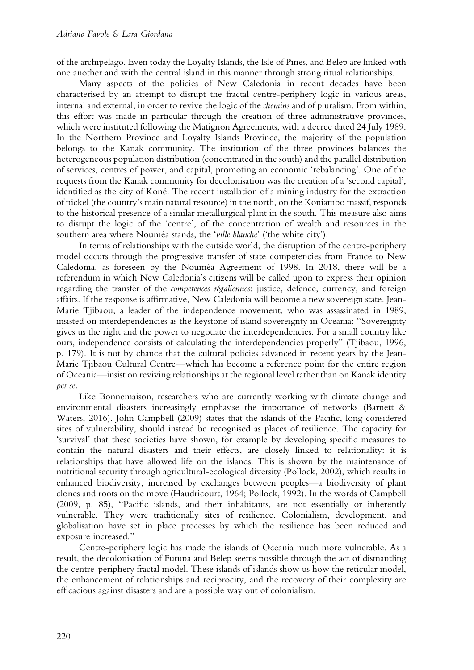of the archipelago. Even today the Loyalty Islands, the Isle of Pines, and Belep are linked with one another and with the central island in this manner through strong ritual relationships.

Many aspects of the policies of New Caledonia in recent decades have been characterised by an attempt to disrupt the fractal centre-periphery logic in various areas, internal and external, in order to revive the logic of the *chemins* and of pluralism. From within, this effort was made in particular through the creation of three administrative provinces, which were instituted following the Matignon Agreements, with a decree dated 24 July 1989. In the Northern Province and Loyalty Islands Province, the majority of the population belongs to the Kanak community. The institution of the three provinces balances the heterogeneous population distribution (concentrated in the south) and the parallel distribution of services, centres of power, and capital, promoting an economic 'rebalancing'. One of the requests from the Kanak community for decolonisation was the creation of a 'second capital', identified as the city of Koné. The recent installation of a mining industry for the extraction of nickel (the country's main natural resource) in the north, on the Koniambo massif, responds to the historical presence of a similar metallurgical plant in the south. This measure also aims to disrupt the logic of the 'centre', of the concentration of wealth and resources in the southern area where Nouméa stands, the '*ville blanche*' ('the white city').

In terms of relationships with the outside world, the disruption of the centre-periphery model occurs through the progressive transfer of state competencies from France to New Caledonia, as foreseen by the Nouméa Agreement of 1998. In 2018, there will be a referendum in which New Caledonia's citizens will be called upon to express their opinion regarding the transfer of the *competences régaliennes*: justice, defence, currency, and foreign affairs. If the response is affirmative, New Caledonia will become a new sovereign state. Jean-Marie Tjibaou, a leader of the independence movement, who was assassinated in 1989, insisted on interdependencies as the keystone of island sovereignty in Oceania: "Sovereignty gives us the right and the power to negotiate the interdependencies. For a small country like ours, independence consists of calculating the interdependencies properly" (Tjibaou, 1996, p. 179). It is not by chance that the cultural policies advanced in recent years by the Jean-Marie Tjibaou Cultural Centre—which has become a reference point for the entire region of Oceania—insist on reviving relationships at the regional level rather than on Kanak identity *per se*.

Like Bonnemaison, researchers who are currently working with climate change and environmental disasters increasingly emphasise the importance of networks (Barnett & Waters, 2016). John Campbell (2009) states that the islands of the Pacific, long considered sites of vulnerability, should instead be recognised as places of resilience. The capacity for 'survival' that these societies have shown, for example by developing specific measures to contain the natural disasters and their effects, are closely linked to relationality: it is relationships that have allowed life on the islands. This is shown by the maintenance of nutritional security through agricultural-ecological diversity (Pollock, 2002), which results in enhanced biodiversity, increased by exchanges between peoples—a biodiversity of plant clones and roots on the move (Haudricourt, 1964; Pollock, 1992). In the words of Campbell (2009, p. 85), "Pacific islands, and their inhabitants, are not essentially or inherently vulnerable. They were traditionally sites of resilience. Colonialism, development, and globalisation have set in place processes by which the resilience has been reduced and exposure increased."

Centre-periphery logic has made the islands of Oceania much more vulnerable. As a result, the decolonisation of Futuna and Belep seems possible through the act of dismantling the centre-periphery fractal model. These islands of islands show us how the reticular model, the enhancement of relationships and reciprocity, and the recovery of their complexity are efficacious against disasters and are a possible way out of colonialism.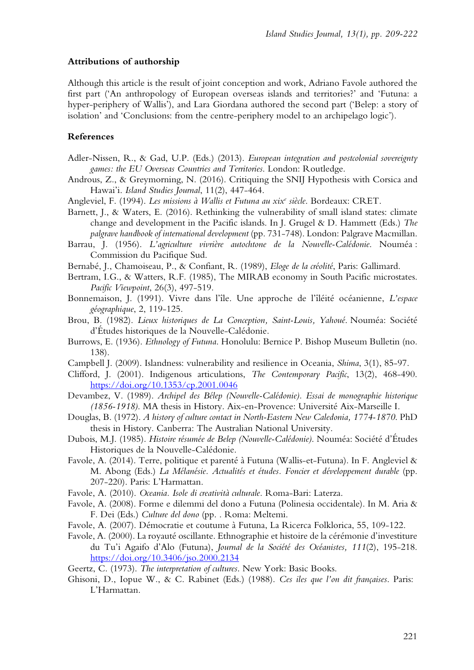## **Attributions of authorship**

Although this article is the result of joint conception and work, Adriano Favole authored the first part ('An anthropology of European overseas islands and territories?' and 'Futuna: a hyper-periphery of Wallis'), and Lara Giordana authored the second part ('Belep: a story of isolation' and 'Conclusions: from the centre-periphery model to an archipelago logic').

# **References**

- Adler-Nissen, R., & Gad, U.P. (Eds.) (2013). *European integration and postcolonial sovereignty games: the EU Overseas Countries and Territories*. London: Routledge.
- Androus, Z., & Greymorning, N. (2016). Critiquing the SNIJ Hypothesis with Corsica and Hawai'i. *Island Studies Journal*, 11(2), 447-464.
- Angleviel, F. (1994). *Les missions à Wallis et Futuna au xixe siècle*. Bordeaux: CRET.
- Barnett, J., & Waters, E. (2016). Rethinking the vulnerability of small island states: climate change and development in the Pacific islands. In J. Grugel & D. Hammett (Eds.) *The palgrave handbook of international development* (pp. 731-748). London: Palgrave Macmillan.
- Barrau, J. (1956). *L'agriculture vivrière autochtone de la Nouvelle-Calédonie*. Nouméa : Commission du Pacifique Sud.
- Bernabé, J., Chamoiseau, P., & Confiant, R. (1989), *Eloge de la créolité*, Paris: Gallimard.
- Bertram, I.G., & Watters, R.F. (1985), The MIRAB economy in South Pacific microstates. *Pacific Viewpoint*, 26(3), 497-519.
- Bonnemaison, J. (1991). Vivre dans l'île. Une approche de l'îléité océanienne, *L'espace géographique*, 2, 119-125.
- Brou, B. (1982). *Lieux historiques de La Conception, Saint-Louis, Yahoué*. Nouméa: Société d'Études historiques de la Nouvelle-Calédonie.
- Burrows, E. (1936). *Ethnology of Futuna*. Honolulu: Bernice P. Bishop Museum Bulletin (no. 138).
- Campbell J. (2009). Islandness: vulnerability and resilience in Oceania, *Shima*, 3(1), 85-97.
- Clifford, J. (2001). Indigenous articulations, *The Contemporary Pacific*, 13(2), 468-490. https://doi.org/10.1353/cp.2001.0046
- Devambez, V. (1989). *Archipel des Bélep (Nouvelle-Calédonie). Essai de monographie historique (1856-1918)*. MA thesis in History. Aix-en-Provence: Université Aix-Marseille I.
- Douglas, B. (1972). *A history of culture contact in North-Eastern New Caledonia, 1774-1870*. PhD thesis in History. Canberra: The Australian National University.
- Dubois, M.J. (1985). *Histoire résumée de Belep (Nouvelle-Calédonie)*. Nouméa: Société d'Études Historiques de la Nouvelle-Calédonie.
- Favole, A. (2014). Terre, politique et parenté à Futuna (Wallis-et-Futuna). In F. Angleviel & M. Abong (Eds.) *La Mélanésie. Actualités et études. Foncier et développement durable* (pp. 207-220). Paris: L'Harmattan.
- Favole, A. (2010). *Oceania. Isole di creatività culturale.* Roma-Bari: Laterza.
- Favole, A. (2008). Forme e dilemmi del dono a Futuna (Polinesia occidentale). In M. Aria & F. Dei (Eds.) *Culture del dono* (pp. . Roma: Meltemi.
- Favole, A. (2007). Démocratie et coutume à Futuna, La Ricerca Folklorica, 55, 109-122.
- Favole, A. (2000). La royauté oscillante. Ethnographie et histoire de la cérémonie d'investiture du Tu'i Agaifo d'Alo (Futuna), *Journal de la Société des Océanistes, 111*(2), 195-218. https://doi.org/10.3406/jso.2000.2134
- Geertz, C. (1973). *The interpretation of cultures*. New York: Basic Books.
- Ghisoni, D., Iopue W., & C. Rabinet (Eds.) (1988). *Ces iles que l'on dit françaises*. Paris: L'Harmattan.